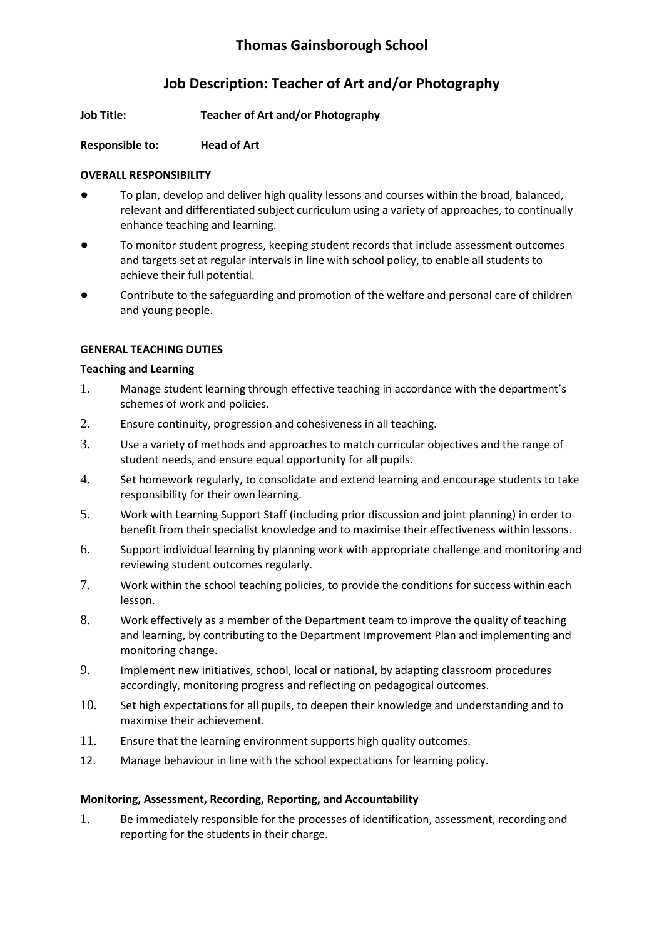# **Job Description: Teacher of Art and/or Photography**

**Job Title: Teacher of Art and/or Photography**

# **Responsible to: Head of Art**

# **OVERALL RESPONSIBILITY**

- To plan, develop and deliver high quality lessons and courses within the broad, balanced, relevant and differentiated subject curriculum using a variety of approaches, to continually enhance teaching and learning.
- To monitor student progress, keeping student records that include assessment outcomes and targets set at regular intervals in line with school policy, to enable all students to achieve their full potential.
- Contribute to the safeguarding and promotion of the welfare and personal care of children and young people.

# **GENERAL TEACHING DUTIES**

# **Teaching and Learning**

- 1. Manage student learning through effective teaching in accordance with the department's schemes of work and policies.
- 2. Ensure continuity, progression and cohesiveness in all teaching.
- 3. Use a variety of methods and approaches to match curricular objectives and the range of student needs, and ensure equal opportunity for all pupils.
- 4. Set homework regularly, to consolidate and extend learning and encourage students to take responsibility for their own learning.
- 5. Work with Learning Support Staff (including prior discussion and joint planning) in order to benefit from their specialist knowledge and to maximise their effectiveness within lessons.
- 6. Support individual learning by planning work with appropriate challenge and monitoring and reviewing student outcomes regularly.
- 7. Work within the school teaching policies, to provide the conditions for success within each lesson.
- 8. Work effectively as a member of the Department team to improve the quality of teaching and learning, by contributing to the Department Improvement Plan and implementing and monitoring change.
- 9. Implement new initiatives, school, local or national, by adapting classroom procedures accordingly, monitoring progress and reflecting on pedagogical outcomes.
- 10. Set high expectations for all pupils, to deepen their knowledge and understanding and to maximise their achievement.
- 11. Ensure that the learning environment supports high quality outcomes.
- 12. Manage behaviour in line with the school expectations for learning policy.

# **Monitoring, Assessment, Recording, Reporting, and Accountability**

1. Be immediately responsible for the processes of identification, assessment, recording and reporting for the students in their charge.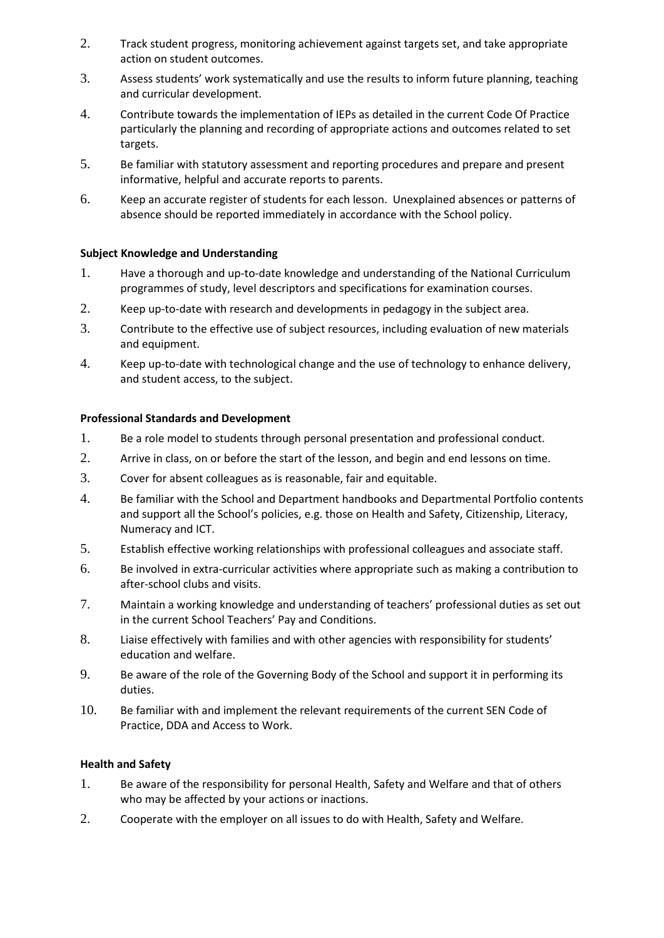- 2. Track student progress, monitoring achievement against targets set, and take appropriate action on student outcomes.
- 3. Assess students' work systematically and use the results to inform future planning, teaching and curricular development.
- 4. Contribute towards the implementation of IEPs as detailed in the current Code Of Practice particularly the planning and recording of appropriate actions and outcomes related to set targets.
- 5. Be familiar with statutory assessment and reporting procedures and prepare and present informative, helpful and accurate reports to parents.
- 6. Keep an accurate register of students for each lesson. Unexplained absences or patterns of absence should be reported immediately in accordance with the School policy.

#### **Subject Knowledge and Understanding**

- 1. Have a thorough and up-to-date knowledge and understanding of the National Curriculum programmes of study, level descriptors and specifications for examination courses.
- 2. Keep up-to-date with research and developments in pedagogy in the subject area.
- 3. Contribute to the effective use of subject resources, including evaluation of new materials and equipment.
- 4. Keep up-to-date with technological change and the use of technology to enhance delivery, and student access, to the subject.

#### **Professional Standards and Development**

- 1. Be a role model to students through personal presentation and professional conduct.
- 2. Arrive in class, on or before the start of the lesson, and begin and end lessons on time.
- 3. Cover for absent colleagues as is reasonable, fair and equitable.
- 4. Be familiar with the School and Department handbooks and Departmental Portfolio contents and support all the School's policies, e.g. those on Health and Safety, Citizenship, Literacy, Numeracy and ICT.
- 5. Establish effective working relationships with professional colleagues and associate staff.
- 6. Be involved in extra-curricular activities where appropriate such as making a contribution to after-school clubs and visits.
- 7. Maintain a working knowledge and understanding of teachers' professional duties as set out in the current School Teachers' Pay and Conditions.
- 8. Liaise effectively with families and with other agencies with responsibility for students' education and welfare.
- 9. Be aware of the role of the Governing Body of the School and support it in performing its duties.
- 10. Be familiar with and implement the relevant requirements of the current SEN Code of Practice, DDA and Access to Work.

#### **Health and Safety**

- 1. Be aware of the responsibility for personal Health, Safety and Welfare and that of others who may be affected by your actions or inactions.
- 2. Cooperate with the employer on all issues to do with Health, Safety and Welfare.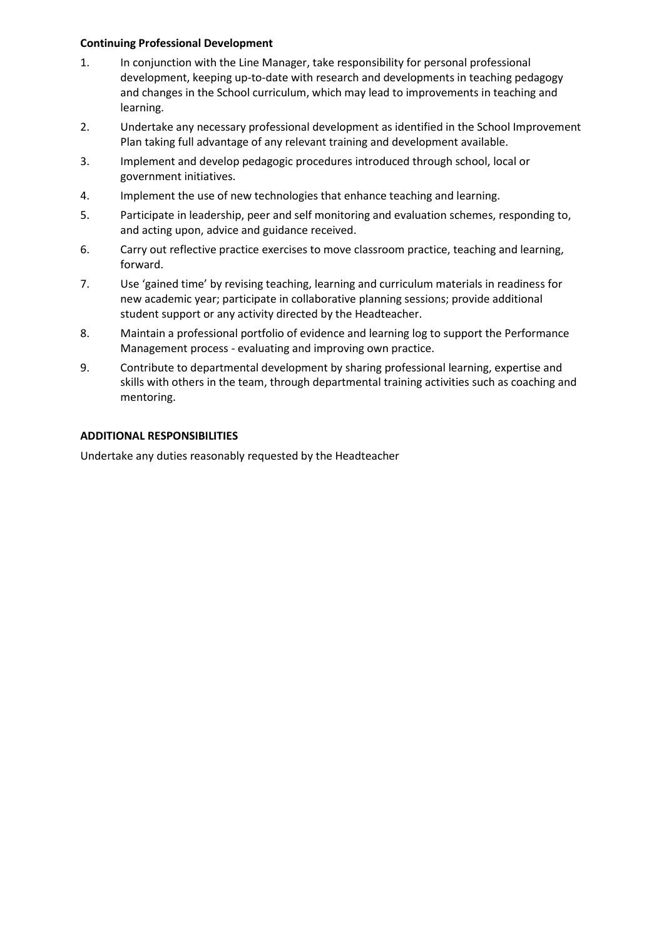#### **Continuing Professional Development**

- 1. In conjunction with the Line Manager, take responsibility for personal professional development, keeping up-to-date with research and developments in teaching pedagogy and changes in the School curriculum, which may lead to improvements in teaching and learning.
- 2. Undertake any necessary professional development as identified in the School Improvement Plan taking full advantage of any relevant training and development available.
- 3. Implement and develop pedagogic procedures introduced through school, local or government initiatives.
- 4. Implement the use of new technologies that enhance teaching and learning.
- 5. Participate in leadership, peer and self monitoring and evaluation schemes, responding to, and acting upon, advice and guidance received.
- 6. Carry out reflective practice exercises to move classroom practice, teaching and learning, forward.
- 7. Use 'gained time' by revising teaching, learning and curriculum materials in readiness for new academic year; participate in collaborative planning sessions; provide additional student support or any activity directed by the Headteacher.
- 8. Maintain a professional portfolio of evidence and learning log to support the Performance Management process - evaluating and improving own practice.
- 9. Contribute to departmental development by sharing professional learning, expertise and skills with others in the team, through departmental training activities such as coaching and mentoring.

#### **ADDITIONAL RESPONSIBILITIES**

Undertake any duties reasonably requested by the Headteacher